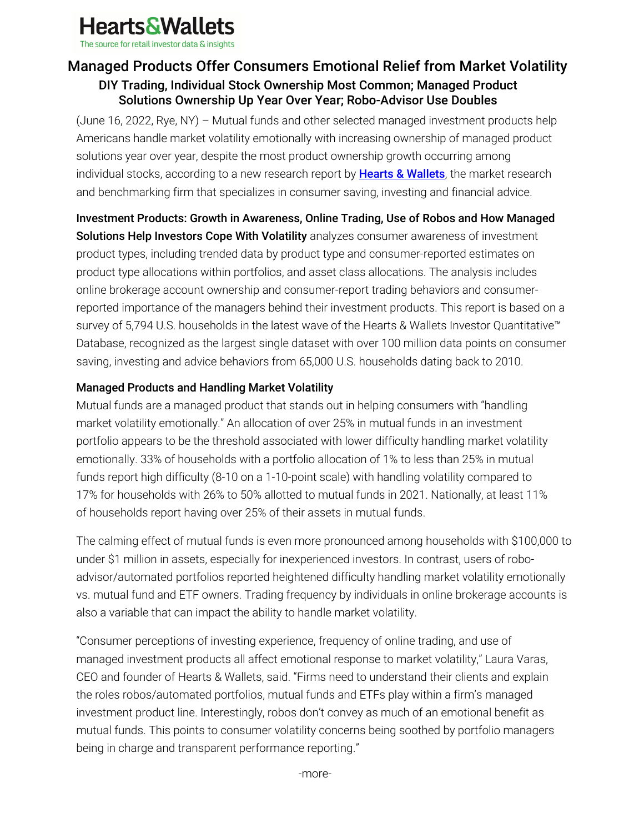

The source for retail investor data & insights

# Managed Products Offer Consumers Emotional Relief from Market Volatility DIY Trading, Individual Stock Ownership Most Common; Managed Product Solutions Ownership Up Year Over Year; Robo-Advisor Use Doubles

(June 16, 2022, Rye, NY) – Mutual funds and other selected managed investment products help Americans handle market volatility emotionally with increasing ownership of managed product solutions year over year, despite the most product ownership growth occurring among individual stocks, according to a new research report by **Hearts & Wallets**, the market research and benchmarking firm that specializes in consumer saving, investing and financial advice.

Investment Products: Growth in Awareness, Online Trading, Use of Robos and How Managed Solutions Help Investors Cope With Volatility analyzes consumer awareness of investment product types, including trended data by product type and consumer-reported estimates on product type allocations within portfolios, and asset class allocations. The analysis includes online brokerage account ownership and consumer-report trading behaviors and consumerreported importance of the managers behind their investment products. This report is based on a survey of 5,794 U.S. households in the latest wave of the Hearts & Wallets Investor Quantitative™ Database, recognized as the largest single dataset with over 100 million data points on consumer saving, investing and advice behaviors from 65,000 U.S. households dating back to 2010.

# Managed Products and Handling Market Volatility

Mutual funds are a managed product that stands out in helping consumers with "handling market volatility emotionally." An allocation of over 25% in mutual funds in an investment portfolio appears to be the threshold associated with lower difficulty handling market volatility emotionally. 33% of households with a portfolio allocation of 1% to less than 25% in mutual funds report high difficulty (8-10 on a 1-10-point scale) with handling volatility compared to 17% for households with 26% to 50% allotted to mutual funds in 2021. Nationally, at least 11% of households report having over 25% of their assets in mutual funds.

The calming effect of mutual funds is even more pronounced among households with \$100,000 to under \$1 million in assets, especially for inexperienced investors. In contrast, users of roboadvisor/automated portfolios reported heightened difficulty handling market volatility emotionally vs. mutual fund and ETF owners. Trading frequency by individuals in online brokerage accounts is also a variable that can impact the ability to handle market volatility.

"Consumer perceptions of investing experience, frequency of online trading, and use of managed investment products all affect emotional response to market volatility," Laura Varas, CEO and founder of Hearts & Wallets, said. "Firms need to understand their clients and explain the roles robos/automated portfolios, mutual funds and ETFs play within a firm's managed investment product line. Interestingly, robos don't convey as much of an emotional benefit as mutual funds. This points to consumer volatility concerns being soothed by portfolio managers being in charge and transparent performance reporting."